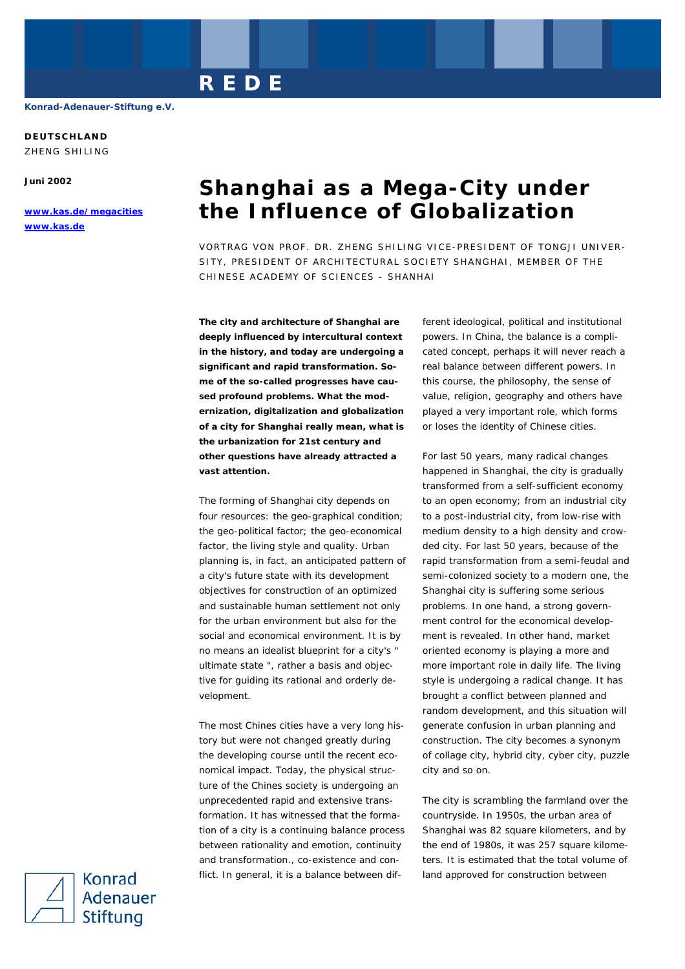**DEUTSCHLAND** 

ZHENG SHILING

**Juni 2002** 

**www.kas.de/megacities www.kas.de**

# **Shanghai as a Mega-City under the Influence of Globalization**

VORTRAG VON PROF. DR. ZHENG SHILING VICE-PRESIDENT OF TONGJI UNIVER-SITY, PRESIDENT OF ARCHITECTURAL SOCIETY SHANGHAI, MEMBER OF THE CHINESE ACADEMY OF SCIENCES - SHANHAI

**The city and architecture of Shanghai are deeply influenced by intercultural context in the history, and today are undergoing a significant and rapid transformation. Some of the so-called progresses have caused profound problems. What the modernization, digitalization and globalization of a city for Shanghai really mean, what is the urbanization for 21st century and other questions have already attracted a vast attention.** 

**REDE** 

The forming of Shanghai city depends on four resources: the geo-graphical condition; the geo-political factor; the geo-economical factor, the living style and quality. Urban planning is, in fact, an anticipated pattern of a city's future state with its development objectives for construction of an optimized and sustainable human settlement not only for the urban environment but also for the social and economical environment. It is by no means an idealist blueprint for a city's " ultimate state ", rather a basis and objective for guiding its rational and orderly development.

The most Chines cities have a very long history but were not changed greatly during the developing course until the recent economical impact. Today, the physical structure of the Chines society is undergoing an unprecedented rapid and extensive transformation. It has witnessed that the formation of a city is a continuing balance process between rationality and emotion, continuity and transformation., co-existence and conflict. In general, it is a balance between different ideological, political and institutional powers. In China, the balance is a complicated concept, perhaps it will never reach a real balance between different powers. In this course, the philosophy, the sense of value, religion, geography and others have played a very important role, which forms or loses the identity of Chinese cities.

For last 50 years, many radical changes happened in Shanghai, the city is gradually transformed from a self-sufficient economy to an open economy; from an industrial city to a post-industrial city, from low-rise with medium density to a high density and crowded city. For last 50 years, because of the rapid transformation from a semi-feudal and semi-colonized society to a modern one, the Shanghai city is suffering some serious problems. In one hand, a strong government control for the economical development is revealed. In other hand, market oriented economy is playing a more and more important role in daily life. The living style is undergoing a radical change. It has brought a conflict between planned and random development, and this situation will generate confusion in urban planning and construction. The city becomes a synonym of collage city, hybrid city, cyber city, puzzle city and so on.

The city is scrambling the farmland over the countryside. In 1950s, the urban area of Shanghai was 82 square kilometers, and by the end of 1980s, it was 257 square kilometers. It is estimated that the total volume of land approved for construction between

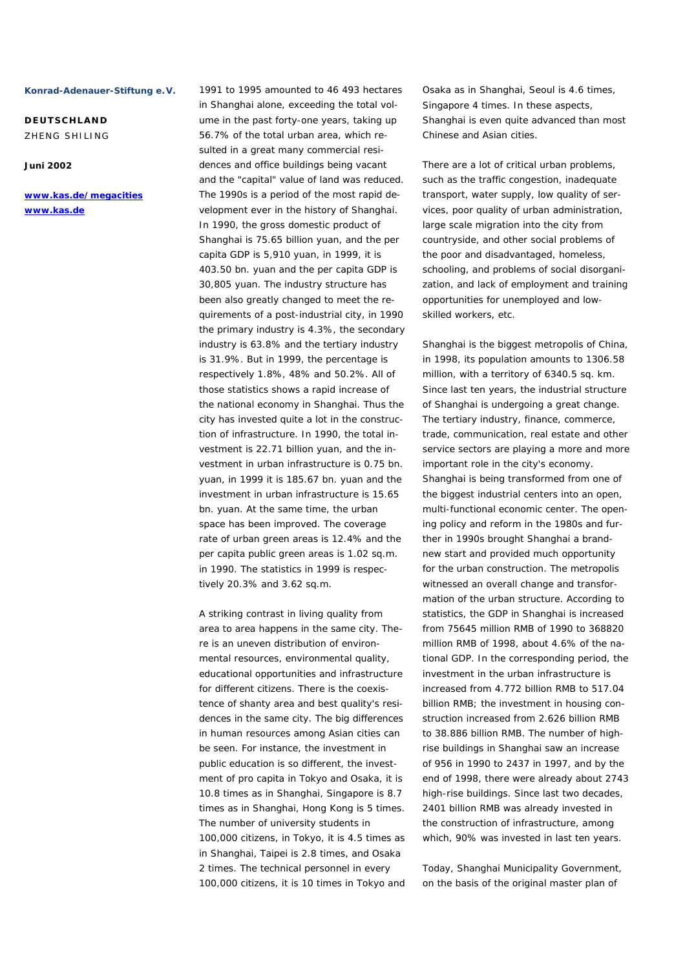**DEUTSCHLAND**  ZHENG SHILING

# **Juni 2002**

**www.kas.de/megacities www.kas.de**

in Shanghai alone, exceeding the total volume in the past forty-one years, taking up 56.7% of the total urban area, which resulted in a great many commercial residences and office buildings being vacant and the "capital" value of land was reduced. The 1990s is a period of the most rapid development ever in the history of Shanghai. In 1990, the gross domestic product of Shanghai is 75.65 billion yuan, and the per capita GDP is 5,910 yuan, in 1999, it is 403.50 bn. yuan and the per capita GDP is 30,805 yuan. The industry structure has been also greatly changed to meet the requirements of a post-industrial city, in 1990 the primary industry is 4.3%, the secondary industry is 63.8% and the tertiary industry is 31.9%. But in 1999, the percentage is respectively 1.8%, 48% and 50.2%. All of those statistics shows a rapid increase of the national economy in Shanghai. Thus the city has invested quite a lot in the construction of infrastructure. In 1990, the total investment is 22.71 billion yuan, and the investment in urban infrastructure is 0.75 bn. yuan, in 1999 it is 185.67 bn. yuan and the investment in urban infrastructure is 15.65 bn. yuan. At the same time, the urban space has been improved. The coverage rate of urban green areas is 12.4% and the per capita public green areas is 1.02 sq.m. in 1990. The statistics in 1999 is respectively 20.3% and 3.62 sq.m.

1991 to 1995 amounted to 46 493 hectares

A striking contrast in living quality from area to area happens in the same city. There is an uneven distribution of environmental resources, environmental quality, educational opportunities and infrastructure for different citizens. There is the coexistence of shanty area and best quality's residences in the same city. The big differences in human resources among Asian cities can be seen. For instance, the investment in public education is so different, the investment of pro capita in Tokyo and Osaka, it is 10.8 times as in Shanghai, Singapore is 8.7 times as in Shanghai, Hong Kong is 5 times. The number of university students in 100,000 citizens, in Tokyo, it is 4.5 times as in Shanghai, Taipei is 2.8 times, and Osaka 2 times. The technical personnel in every 100,000 citizens, it is 10 times in Tokyo and Osaka as in Shanghai, Seoul is 4.6 times, Singapore 4 times. In these aspects, Shanghai is even quite advanced than most Chinese and Asian cities.

There are a lot of critical urban problems, such as the traffic congestion, inadequate transport, water supply, low quality of services, poor quality of urban administration, large scale migration into the city from countryside, and other social problems of the poor and disadvantaged, homeless, schooling, and problems of social disorganization, and lack of employment and training opportunities for unemployed and lowskilled workers, etc.

Shanghai is the biggest metropolis of China, in 1998, its population amounts to 1306.58 million, with a territory of 6340.5 sq. km. Since last ten years, the industrial structure of Shanghai is undergoing a great change. The tertiary industry, finance, commerce, trade, communication, real estate and other service sectors are playing a more and more important role in the city's economy. Shanghai is being transformed from one of the biggest industrial centers into an open, multi-functional economic center. The opening policy and reform in the 1980s and further in 1990s brought Shanghai a brandnew start and provided much opportunity for the urban construction. The metropolis witnessed an overall change and transformation of the urban structure. According to statistics, the GDP in Shanghai is increased from 75645 million RMB of 1990 to 368820 million RMB of 1998, about 4.6% of the national GDP. In the corresponding period, the investment in the urban infrastructure is increased from 4.772 billion RMB to 517.04 billion RMB; the investment in housing construction increased from 2.626 billion RMB to 38.886 billion RMB. The number of highrise buildings in Shanghai saw an increase of 956 in 1990 to 2437 in 1997, and by the end of 1998, there were already about 2743 high-rise buildings. Since last two decades, 2401 billion RMB was already invested in the construction of infrastructure, among which, 90% was invested in last ten years.

Today, Shanghai Municipality Government, on the basis of the original master plan of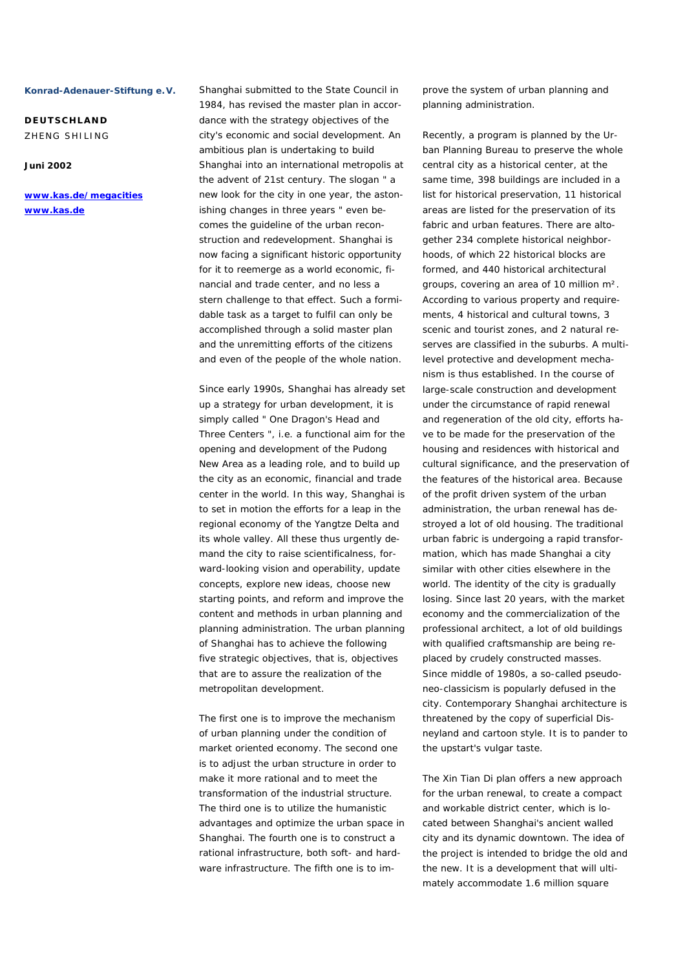**DEUTSCHLAND**  ZHENG SHILING

## **Juni 2002**

**www.kas.de/megacities www.kas.de**

Shanghai submitted to the State Council in 1984, has revised the master plan in accordance with the strategy objectives of the city's economic and social development. An ambitious plan is undertaking to build Shanghai into an international metropolis at the advent of 21st century. The slogan " a new look for the city in one year, the astonishing changes in three years " even becomes the guideline of the urban reconstruction and redevelopment. Shanghai is now facing a significant historic opportunity for it to reemerge as a world economic, financial and trade center, and no less a stern challenge to that effect. Such a formidable task as a target to fulfil can only be accomplished through a solid master plan and the unremitting efforts of the citizens and even of the people of the whole nation.

Since early 1990s, Shanghai has already set up a strategy for urban development, it is simply called " One Dragon's Head and Three Centers ", i.e. a functional aim for the opening and development of the Pudong New Area as a leading role, and to build up the city as an economic, financial and trade center in the world. In this way, Shanghai is to set in motion the efforts for a leap in the regional economy of the Yangtze Delta and its whole valley. All these thus urgently demand the city to raise scientificalness, forward-looking vision and operability, update concepts, explore new ideas, choose new starting points, and reform and improve the content and methods in urban planning and planning administration. The urban planning of Shanghai has to achieve the following five strategic objectives, that is, objectives that are to assure the realization of the metropolitan development.

The first one is to improve the mechanism of urban planning under the condition of market oriented economy. The second one is to adjust the urban structure in order to make it more rational and to meet the transformation of the industrial structure. The third one is to utilize the humanistic advantages and optimize the urban space in Shanghai. The fourth one is to construct a rational infrastructure, both soft- and hardware infrastructure. The fifth one is to improve the system of urban planning and planning administration.

Recently, a program is planned by the Urban Planning Bureau to preserve the whole central city as a historical center, at the same time, 398 buildings are included in a list for historical preservation, 11 historical areas are listed for the preservation of its fabric and urban features. There are altogether 234 complete historical neighborhoods, of which 22 historical blocks are formed, and 440 historical architectural groups, covering an area of 10 million m². According to various property and requirements, 4 historical and cultural towns, 3 scenic and tourist zones, and 2 natural reserves are classified in the suburbs. A multilevel protective and development mechanism is thus established. In the course of large-scale construction and development under the circumstance of rapid renewal and regeneration of the old city, efforts have to be made for the preservation of the housing and residences with historical and cultural significance, and the preservation of the features of the historical area. Because of the profit driven system of the urban administration, the urban renewal has destroyed a lot of old housing. The traditional urban fabric is undergoing a rapid transformation, which has made Shanghai a city similar with other cities elsewhere in the world. The identity of the city is gradually losing. Since last 20 years, with the market economy and the commercialization of the professional architect, a lot of old buildings with qualified craftsmanship are being replaced by crudely constructed masses. Since middle of 1980s, a so-called pseudoneo-classicism is popularly defused in the city. Contemporary Shanghai architecture is threatened by the copy of superficial Disneyland and cartoon style. It is to pander to the upstart's vulgar taste.

The Xin Tian Di plan offers a new approach for the urban renewal, to create a compact and workable district center, which is located between Shanghai's ancient walled city and its dynamic downtown. The idea of the project is intended to bridge the old and the new. It is a development that will ultimately accommodate 1.6 million square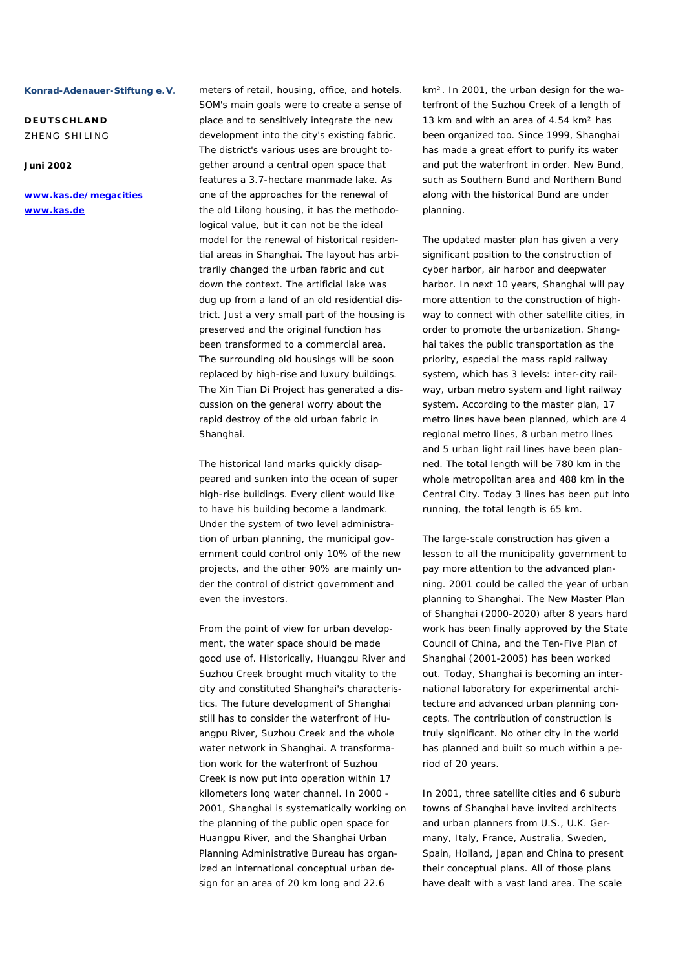**DEUTSCHLAND**  ZHENG SHILING

# **Juni 2002**

**www.kas.de/megacities www.kas.de**

meters of retail, housing, office, and hotels. SOM's main goals were to create a sense of place and to sensitively integrate the new development into the city's existing fabric. The district's various uses are brought together around a central open space that features a 3.7-hectare manmade lake. As one of the approaches for the renewal of the old Lilong housing, it has the methodological value, but it can not be the ideal model for the renewal of historical residential areas in Shanghai. The layout has arbitrarily changed the urban fabric and cut down the context. The artificial lake was dug up from a land of an old residential district. Just a very small part of the housing is preserved and the original function has been transformed to a commercial area. The surrounding old housings will be soon replaced by high-rise and luxury buildings. The Xin Tian Di Project has generated a discussion on the general worry about the rapid destroy of the old urban fabric in Shanghai.

The historical land marks quickly disappeared and sunken into the ocean of super high-rise buildings. Every client would like to have his building become a landmark. Under the system of two level administration of urban planning, the municipal government could control only 10% of the new projects, and the other 90% are mainly under the control of district government and even the investors.

From the point of view for urban development, the water space should be made good use of. Historically, Huangpu River and Suzhou Creek brought much vitality to the city and constituted Shanghai's characteristics. The future development of Shanghai still has to consider the waterfront of Huangpu River, Suzhou Creek and the whole water network in Shanghai. A transformation work for the waterfront of Suzhou Creek is now put into operation within 17 kilometers long water channel. In 2000 - 2001, Shanghai is systematically working on the planning of the public open space for Huangpu River, and the Shanghai Urban Planning Administrative Bureau has organized an international conceptual urban design for an area of 20 km long and 22.6

km². In 2001, the urban design for the waterfront of the Suzhou Creek of a length of 13 km and with an area of 4.54 km² has been organized too. Since 1999, Shanghai has made a great effort to purify its water and put the waterfront in order. New Bund, such as Southern Bund and Northern Bund along with the historical Bund are under planning.

The updated master plan has given a very significant position to the construction of cyber harbor, air harbor and deepwater harbor. In next 10 years, Shanghai will pay more attention to the construction of highway to connect with other satellite cities, in order to promote the urbanization. Shanghai takes the public transportation as the priority, especial the mass rapid railway system, which has 3 levels: inter-city railway, urban metro system and light railway system. According to the master plan, 17 metro lines have been planned, which are 4 regional metro lines, 8 urban metro lines and 5 urban light rail lines have been planned. The total length will be 780 km in the whole metropolitan area and 488 km in the Central City. Today 3 lines has been put into running, the total length is 65 km.

The large-scale construction has given a lesson to all the municipality government to pay more attention to the advanced planning. 2001 could be called the year of urban planning to Shanghai. The New Master Plan of Shanghai (2000-2020) after 8 years hard work has been finally approved by the State Council of China, and the Ten-Five Plan of Shanghai (2001-2005) has been worked out. Today, Shanghai is becoming an international laboratory for experimental architecture and advanced urban planning concepts. The contribution of construction is truly significant. No other city in the world has planned and built so much within a period of 20 years.

In 2001, three satellite cities and 6 suburb towns of Shanghai have invited architects and urban planners from U.S., U.K. Germany, Italy, France, Australia, Sweden, Spain, Holland, Japan and China to present their conceptual plans. All of those plans have dealt with a vast land area. The scale